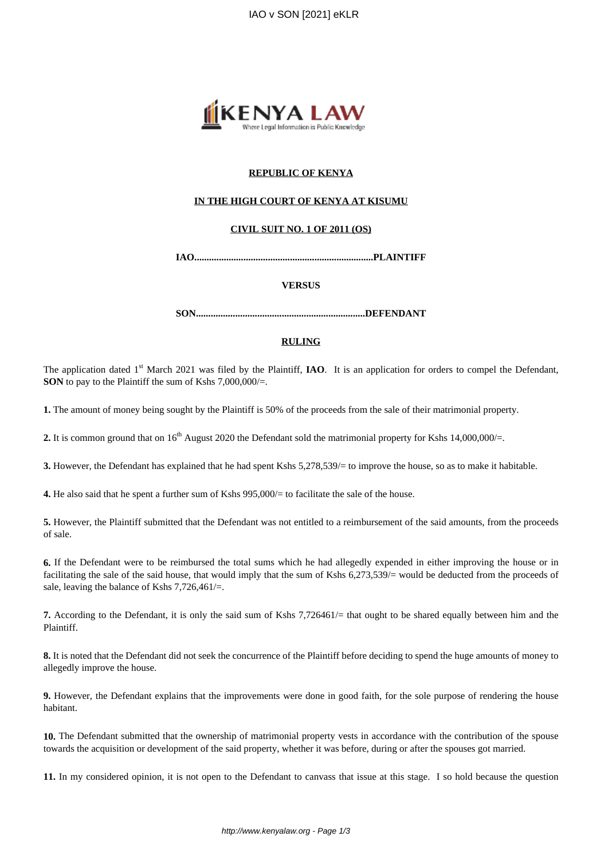

# **REPUBLIC OF KENYA**

## **IN THE HIGH COURT OF KENYA AT KISUMU**

## **CIVIL SUIT NO. 1 OF 2011 (OS)**

**IAO.........................................................................PLAINTIFF**

## **VERSUS**

**SON.....................................................................DEFENDANT**

## **RULING**

The application dated 1<sup>st</sup> March 2021 was filed by the Plaintiff, **IAO**. It is an application for orders to compel the Defendant, **SON** to pay to the Plaintiff the sum of Kshs 7,000,000/=.

**1.** The amount of money being sought by the Plaintiff is 50% of the proceeds from the sale of their matrimonial property.

**2.** It is common ground that on 16<sup>th</sup> August 2020 the Defendant sold the matrimonial property for Kshs 14,000,000/=.

**3.** However, the Defendant has explained that he had spent Kshs 5,278,539/= to improve the house, so as to make it habitable.

**4.** He also said that he spent a further sum of Kshs 995,000/= to facilitate the sale of the house.

**5.** However, the Plaintiff submitted that the Defendant was not entitled to a reimbursement of the said amounts, from the proceeds of sale.

**6.** If the Defendant were to be reimbursed the total sums which he had allegedly expended in either improving the house or in facilitating the sale of the said house, that would imply that the sum of Kshs 6,273,539/= would be deducted from the proceeds of sale, leaving the balance of Kshs 7,726,461/=.

**7.** According to the Defendant, it is only the said sum of Kshs 7,726461/= that ought to be shared equally between him and the Plaintiff.

**8.** It is noted that the Defendant did not seek the concurrence of the Plaintiff before deciding to spend the huge amounts of money to allegedly improve the house.

**9.** However, the Defendant explains that the improvements were done in good faith, for the sole purpose of rendering the house habitant.

**10.** The Defendant submitted that the ownership of matrimonial property vests in accordance with the contribution of the spouse towards the acquisition or development of the said property, whether it was before, during or after the spouses got married.

**11.** In my considered opinion, it is not open to the Defendant to canvass that issue at this stage. I so hold because the question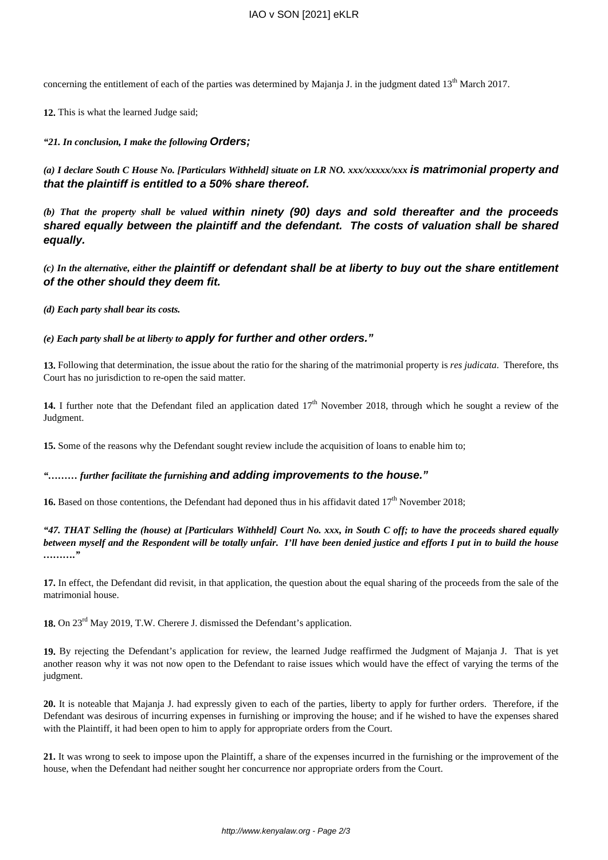concerning the entitlement of each of the parties was determined by Majanja J. in the judgment dated  $13<sup>th</sup>$  March 2017.

**12.** This is what the learned Judge said;

*"21. In conclusion, I make the following* **Orders;**

*(a) I declare South C House No. [Particulars Withheld] situate on LR NO. xxx/xxxxx/xxx* **is matrimonial property and that the plaintiff is entitled to a 50% share thereof.**

*(b) That the property shall be valued* **within ninety (90) days and sold thereafter and the proceeds shared equally between the plaintiff and the defendant. The costs of valuation shall be shared equally.**

*(c) In the alternative, either the* **plaintiff or defendant shall be at liberty to buy out the share entitlement of the other should they deem fit.**

*(d) Each party shall bear its costs.*

*(e) Each party shall be at liberty to* **apply for further and other orders."**

**13.** Following that determination, the issue about the ratio for the sharing of the matrimonial property is *res judicata*. Therefore, ths Court has no jurisdiction to re-open the said matter.

14. I further note that the Defendant filed an application dated  $17<sup>th</sup>$  November 2018, through which he sought a review of the Judgment.

**15.** Some of the reasons why the Defendant sought review include the acquisition of loans to enable him to;

*"……… further facilitate the furnishing* **and adding improvements to the house."**

**16.** Based on those contentions, the Defendant had deponed thus in his affidavit dated 17<sup>th</sup> November 2018;

*"47. THAT Selling the (house) at [Particulars Withheld] Court No. xxx, in South C off; to have the proceeds shared equally between myself and the Respondent will be totally unfair. I'll have been denied justice and efforts I put in to build the house ………."*

**17.** In effect, the Defendant did revisit, in that application, the question about the equal sharing of the proceeds from the sale of the matrimonial house.

18. On 23<sup>rd</sup> May 2019, T.W. Cherere J. dismissed the Defendant's application.

**19.** By rejecting the Defendant's application for review, the learned Judge reaffirmed the Judgment of Majanja J. That is yet another reason why it was not now open to the Defendant to raise issues which would have the effect of varying the terms of the judgment.

**20.** It is noteable that Majanja J. had expressly given to each of the parties, liberty to apply for further orders. Therefore, if the Defendant was desirous of incurring expenses in furnishing or improving the house; and if he wished to have the expenses shared with the Plaintiff, it had been open to him to apply for appropriate orders from the Court.

**21.** It was wrong to seek to impose upon the Plaintiff, a share of the expenses incurred in the furnishing or the improvement of the house, when the Defendant had neither sought her concurrence nor appropriate orders from the Court.